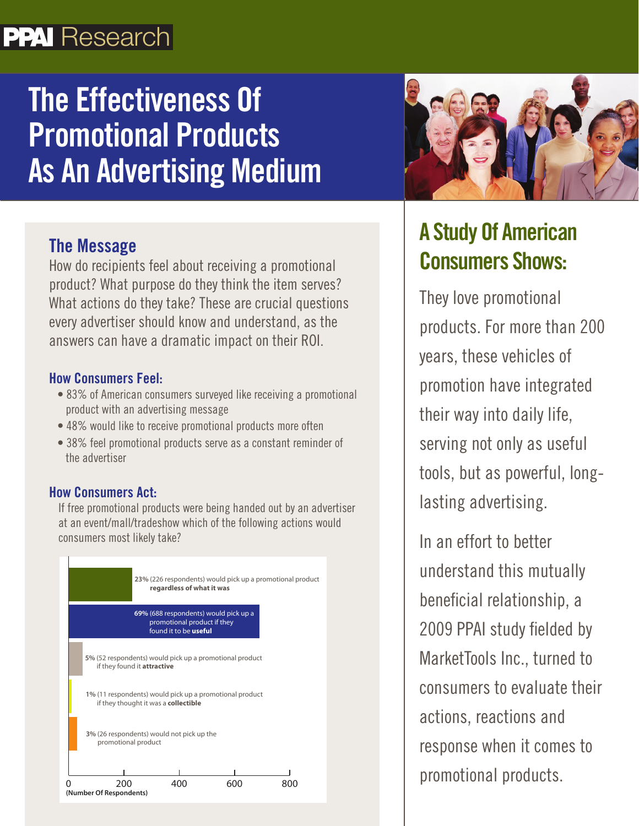## **PPAI** Research

# **The Effectiveness Of Promotional Products As An Advertising Medium**

### The Message

How do recipients feel about receiving a promotional product? What purpose do they think the item serves? What actions do they take? These are crucial questions every advertiser should know and understand, as the answers can have a dramatic impact on their ROI.

#### How Consumers Feel:

- 83% of American consumers surveyed like receiving a promotional product with an advertising message
- 48% would like to receive promotional products more often
- 38% feel promotional products serve as a constant reminder of the advertiser

### How Consumers Act:

If free promotional products were being handed out by an advertiser at an event/mall/tradeshow which of the following actions would consumers most likely take?





### **A Study Of American Consumers Shows:**

They love promotional products. For more than 200 years, these vehicles of promotion have integrated their way into daily life, serving not only as useful tools, but as powerful, longlasting advertising.

In an effort to better understand this mutually beneficial relationship, a 2009 PPAI study fielded by MarketTools Inc., turned to consumers to evaluate their actions, reactions and response when it comes to promotional products.